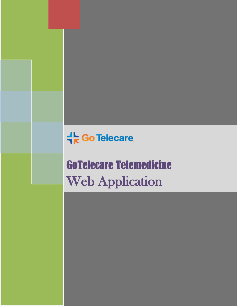**十 Go Telecare** 

GoTelecare Telemedicine Web Application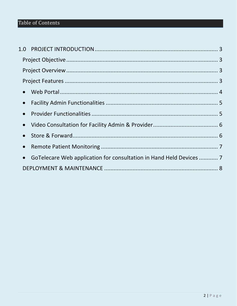## Table of Contents

| $\bullet$ |                                                                     |  |
|-----------|---------------------------------------------------------------------|--|
| $\bullet$ |                                                                     |  |
| $\bullet$ |                                                                     |  |
| $\bullet$ |                                                                     |  |
| $\bullet$ |                                                                     |  |
| $\bullet$ |                                                                     |  |
| $\bullet$ | GoTelecare Web application for consultation in Hand Held Devices  7 |  |
|           |                                                                     |  |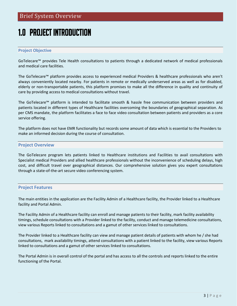# <span id="page-2-0"></span>1.0 PROJECT INTRODUCTION

#### <span id="page-2-1"></span>**Project Objective**

GoTelecare™ provides Tele Health consultations to patients through a dedicated network of medical professionals and medical care facilities.

The GoTelecare™ platform provides access to experienced medical Providers & healthcare professionals who aren't always conveniently located nearby. For patients in remote or medically underserved areas as well as for disabled, elderly or non-transportable patients, this platform promises to make all the difference in quality and continuity of care by providing access to medical consultations without travel.

The GoTelecare™ platform is intended to facilitate smooth & hassle free communication between providers and patients located in different types of Healthcare facilities overcoming the boundaries of geographical separation. As per CMS mandate, the platform facilitates a face to face video consultation between patients and providers as a core service offering.

The platform does not have EMR functionality but records some amount of data which is essential to the Providers to make an informed decision during the course of consultation.

#### <span id="page-2-2"></span>**Project Overview**

The GoTelecare program lets patients linked to Healthcare institutions and Facilities to avail consultations with Specialist medical Providers and allied healthcare professionals without the inconvenience of scheduling delays, high cost, and difficult travel over geographical distances. Our comprehensive solution gives you expert consultations through a state-of-the-art secure video conferencing system.

#### <span id="page-2-3"></span>**Project Features**

The main entities in the application are the Facility Admin of a Healthcare facility, the Provider linked to a Healthcare facility and Portal Admin.

The Facility Admin of a Healthcare facility can enroll and manage patients to their facility, mark facility availability timings, schedule consultations with a Provider linked to the facility, conduct and manage telemedicine consultations, view various Reports linked to consultations and a gamut of other services linked to consultations.

The Provider linked to a Healthcare facility can view and manage patient details of patients with whom he / she had consultations, mark availability timings, attend consultations with a patient linked to the facility, view various Reports linked to consultations and a gamut of other services linked to consultations.

The Portal Admin is in overall control of the portal and has access to all the controls and reports linked to the entire functioning of the Portal.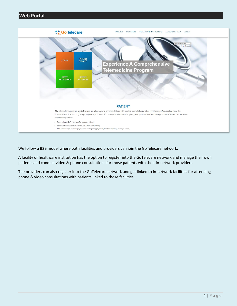<span id="page-3-0"></span>

We follow a B2B model where both facilities and providers can join the GoTelecare network.

A facility or healthcare institution has the option to register into the GoTelecare network and manage their own patients and conduct video & phone consultations for those patients with their in-network providers.

The providers can also register into the GoTelecare network and get linked to in-network facilities for attending phone & video consultations with patients linked to those facilities.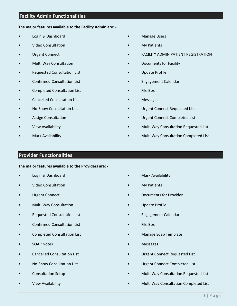## <span id="page-4-0"></span>**Facility Admin Functionalities**

#### **The major features available to the Facility Admin are: -**

- Login & Dashboard
- Video Consultation
- Urgent Connect
- Multi Way Consultation
- Requested Consultation List
- Confirmed Consultation List
- Completed Consultation List
- Cancelled Consultation List
- No-Show Consultation List
- Assign Consultation
- View Availability
- Mark Availability
- **Manage Users**
- **My Patients**
- FACILITY ADMIN PATIENT REGISTRATION
- Documents for Facility
- Update Profile
- Engagement Calendar
- File Box
- Messages
- Urgent Connect Requested List
- Urgent Connect Completed List
- Multi Way Consultation Requested List
- Multi Way Consultation Completed List

### <span id="page-4-1"></span>**Provider Functionalities**

#### **The major features available to the Providers are: -**

- Login & Dashboard
- Video Consultation
- Urgent Connect
- Multi Way Consultation
- Requested Consultation List
- Confirmed Consultation List
- Completed Consultation List
- SOAP Notes
- Cancelled Consultation List
- No-Show Consultation List
- Consultation Setup
- View Availability
- Mark Availability
- **My Patients**
- Documents for Provider
- Update Profile
- Engagement Calendar
- File Box
- Manage Soap Template
- Messages
- Urgent Connect Requested List
- Urgent Connect Completed List
- Multi Way Consultation Requested List
	- Multi Way Consultation Completed List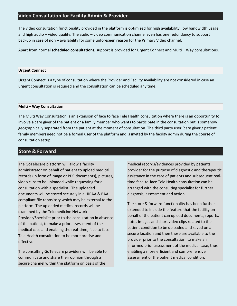## <span id="page-5-0"></span>**Video Consultation for Facility Admin & Provider**

The video consultation functionality provided in the platform is optimized for high availability, low bandwidth usage and high audio – video quality. The audio – video communication channel even has one redundancy to support backup in case of non – availability for some unforeseen reason for the Primary Video channel.

Apart from normal **scheduled consultations**, support is provided for Urgent Connect and Multi – Way consultations.

#### **Urgent Connect**

Urgent Connect is a type of consultation where the Provider and Facility Availability are not considered in case an urgent consultation is required and the consultation can be scheduled any time.

#### **Multi – Way Consultation**

The Multi Way Consultation is an extension of face to face Tele Health consultation where there is an opportunity to involve a care giver of the patient or a family member who wants to participate in the consultation but is somehow geographically separated from the patient at the moment of consultation. The third party user (care giver / patient family member) need not be a formal user of the platform and is invited by the facility admin during the course of consultation setup

## <span id="page-5-1"></span>**Store & Forward**

The GoTelecare platform will allow a facility administrator on behalf of patient to upload medical records (in form of image or PDF documents), pictures, video clips to be uploaded while requesting for a consultation with a specialist. The uploaded documents will be stored securely in a HIPAA & BAA compliant file repository which may be external to the platform. The uploaded medical records will be examined by the Telemedicine Network Provider/Specialist prior to the consultation in absence of the patient, to make a prior assessment of the medical case and enabling the real-time, face to face Tele Health consultation to be more precise and effective.

The consulting GoTelecare providers will be able to communicate and share their opinion through a secure channel within the platform on basis of the

medical records/evidences provided by patients provider for the purpose of diagnostic and therapeutic assistance in the care of patients and subsequent realtime face-to-face Tele Health consultation can be arranged with the consulting specialist for further diagnosis, assessment and action.

The store & forward functionality has been further extended to include the feature that the facility on behalf of the patient can upload documents, reports, notes images and short video clips related to the patient condition to be uploaded and saved on a secure location and then these are available to the provider prior to the consultation, to make an informed prior assessment of the medical case, thus enabling a more efficient and comprehensive assessment of the patient medical condition.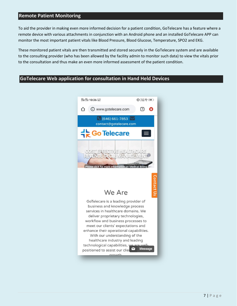## <span id="page-6-0"></span>**Remote Patient Monitoring**

To aid the provider in making even more informed decision for a patient condition, GoTelecare has a feature where a remote device with various attachments in conjunction with an Android phone and an installed GoTelecare APP can monitor the most important patient vitals like Blood Pressure, Blood Glucose, Temperature, SPO2 and EKG.

These monitored patient vitals are then transmitted and stored securely in the GoTelecare system and are available to the consulting provider (who has been allowed by the facility admin to monitor such data) to view the vitals prior to the consultation and thus make an even more informed assessment of the patient condition.

## <span id="page-6-1"></span>**GoTelecare Web application for consultation in Hand Held Devices**